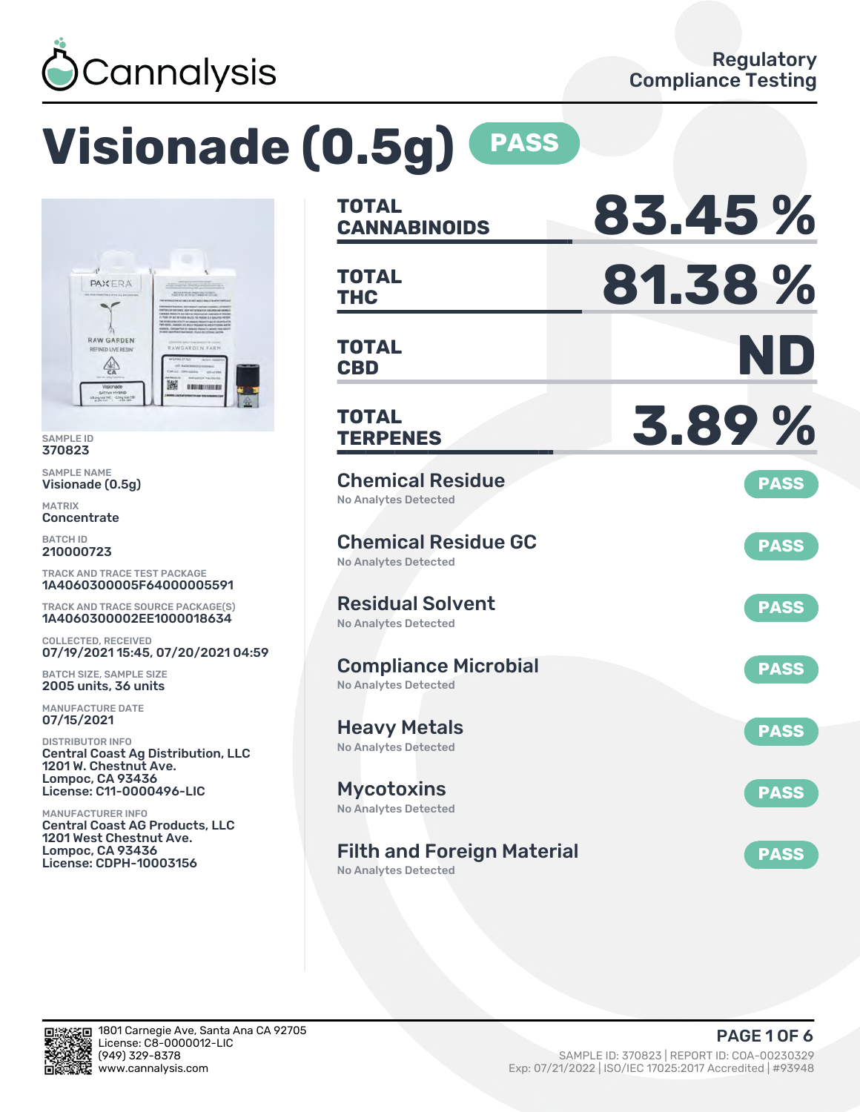

# **Visionade (0.5g) PASS**



SAMPLE ID 370823

SAMPLE NAME Visionade (0.5g)

MATRIX **Concentrate** 

BATCH ID 210000723

TRACK AND TRACE TEST PACKAGE 1A4060300005F64000005591

TRACK AND TRACE SOURCE PACKAGE(S) 1A4060300002EE1000018634

COLLECTED, RECEIVED 07/19/2021 15:45, 07/20/2021 04:59

BATCH SIZE, SAMPLE SIZE 2005 units, 36 units

MANUFACTURE DATE 07/15/2021

DISTRIBUTOR INFO Central Coast Ag Distribution, LLC 1201 W. Chestnut Ave. Lompoc, CA 93436 License: C11-0000496-LIC

MANUFACTURER INFO Central Coast AG Products, LLC 1201 West Chestnut Ave. Lompoc, CA 93436 License: CDPH-10003156

| TOTAL<br><b>CANNABINOIDS</b>                               | 83.45%      |
|------------------------------------------------------------|-------------|
| <b>TOTAL</b><br>THC                                        | 81.38%      |
| <b>TOTAL</b><br><b>CBD</b>                                 | ND          |
| TOTAL<br><b>TERPENES</b>                                   | 3.89%       |
| <b>Chemical Residue</b><br><b>No Analytes Detected</b>     | <b>PASS</b> |
| <b>Chemical Residue GC</b><br><b>No Analytes Detected</b>  | <b>PASS</b> |
| <b>Residual Solvent</b><br><b>No Analytes Detected</b>     | <b>PASS</b> |
| <b>Compliance Microbial</b><br><b>No Analytes Detected</b> | <b>PASS</b> |
| <b>Heavy Metals</b><br>No Analytes Detected                | <b>PASS</b> |
| <b>Mycotoxins</b><br>No Analytes Detected                  | <b>PASS</b> |
| <b>Filth and Foreign Material</b>                          | <b>PASS</b> |

No Analytes Detected

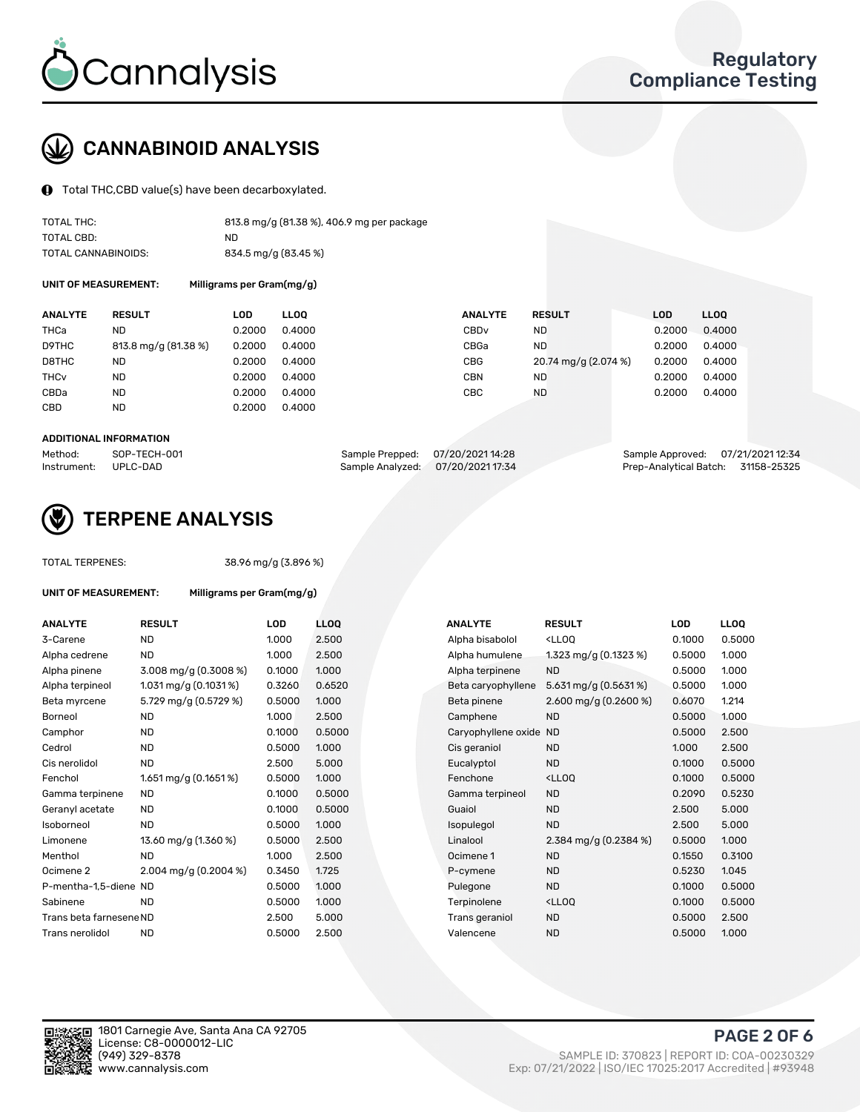

# CANNABINOID ANALYSIS

Total THC,CBD value(s) have been decarboxylated.

| TOTAL THC:          | 813.8 mg/g (81.38 %), 406.9 mg per package |
|---------------------|--------------------------------------------|
| TOTAL CBD:          | ND                                         |
| TOTAL CANNABINOIDS: | 834.5 mg/g (83.45 %)                       |

UNIT OF MEASUREMENT: Milligrams per Gram(mg/g)

| <b>ANALYTE</b>         | <b>RESULT</b>        | LOD    | <b>LLOO</b> | <b>ANALYTE</b>   | <b>RESULT</b>        | <b>LOD</b> | LL <sub>00</sub> |
|------------------------|----------------------|--------|-------------|------------------|----------------------|------------|------------------|
| THCa                   | ND                   | 0.2000 | 0.4000      | CBD <sub>v</sub> | ND.                  | 0.2000     | 0.4000           |
| D9THC                  | 813.8 mg/g (81.38 %) | 0.2000 | 0.4000      | CBGa             | <b>ND</b>            | 0.2000     | 0.4000           |
| D8THC                  | <b>ND</b>            | 0.2000 | 0.4000      | CBG              | 20.74 mg/g (2.074 %) | 0.2000     | 0.4000           |
| <b>THC<sub>v</sub></b> | <b>ND</b>            | 0.2000 | 0.4000      | CBN              | <b>ND</b>            | 0.2000     | 0.4000           |
| CBDa                   | <b>ND</b>            | 0.2000 | 0.4000      | CBC              | <b>ND</b>            | 0.2000     | 0.4000           |
| CBD                    | ND                   | 0.2000 | 0.4000      |                  |                      |            |                  |
|                        |                      |        |             |                  |                      |            |                  |

#### ADDITIONAL INFORMATION

| Method:              | SOP-TECH-001 | Sample Prepped: 07/20/2021 14:28  | Sample Approved: 07/21/2021 12:34  |  |
|----------------------|--------------|-----------------------------------|------------------------------------|--|
| Instrument: UPLC-DAD |              | Sample Analyzed: 07/20/2021 17:34 | Prep-Analytical Batch: 31158-25325 |  |



## TERPENE ANALYSIS

| <b>TOTAL TERPENES:</b>  |                                    | 38.96 mg/g (3.896 %) |      |  |  |  |  |
|-------------------------|------------------------------------|----------------------|------|--|--|--|--|
| UNIT OF MEASUREMENT:    | Milligrams per Gram(mg/g)          |                      |      |  |  |  |  |
| <b>ANALYTE</b>          | <b>RESULT</b>                      | LOD                  | LЦ   |  |  |  |  |
| 3-Carene                | <b>ND</b>                          | 1.000                | 2.5  |  |  |  |  |
| Alpha cedrene           | <b>ND</b>                          | 1.000                | 2.5  |  |  |  |  |
| Alpha pinene            | $3.008 \,\mathrm{mg/g}$ (0.3008 %) | 0.1000               | 1.0  |  |  |  |  |
| Alpha terpineol         | 1.031 mg/g $(0.1031\%)$            | 0.3260               | 0.6  |  |  |  |  |
| Beta myrcene            | 5.729 mg/g (0.5729 %)              | 0.5000               | 1.0  |  |  |  |  |
| Borneol                 | <b>ND</b>                          | 1.000                | 2.5  |  |  |  |  |
| Camphor                 | <b>ND</b>                          | 0.1000               | 0.5  |  |  |  |  |
| Cedrol                  | <b>ND</b>                          | 0.5000               | 1.0  |  |  |  |  |
| Cis nerolidol           | ND.                                | 2.500                | 5.0  |  |  |  |  |
| Fenchol                 | 1.651 mg/g (0.1651 %)              | 0.5000               | 1.0  |  |  |  |  |
| Gamma terpinene         | <b>ND</b>                          | 0.1000               | 0.5  |  |  |  |  |
| Geranyl acetate         | <b>ND</b>                          | 0.1000               | 0.5  |  |  |  |  |
| Isoborneol              | <b>ND</b>                          | 0.5000               | 1.0  |  |  |  |  |
| Limonene                | 13.60 mg/g (1.360 %)               | 0.5000               | 2.5  |  |  |  |  |
| Menthol                 | ND.                                | 1.000                | 2.5  |  |  |  |  |
| Ocimene <sub>2</sub>    | 2.004 mg/g (0.2004 %)              | 0.3450               | 1.72 |  |  |  |  |
| P-mentha-1,5-diene ND   |                                    | 0.5000               | 1.0  |  |  |  |  |
| Sabinene                | ND                                 | 0.5000               | 1.0  |  |  |  |  |
| Trans beta farnesene ND |                                    | 2.500                | 5.0  |  |  |  |  |
| Trans nerolidol         | ND                                 | 0.5000               | 2.5  |  |  |  |  |
|                         |                                    |                      |      |  |  |  |  |

| ANALYTE                 | <b>RESULT</b>           | LOD    | <b>LLOQ</b> | <b>ANALYTE</b>         | <b>RESULT</b>                                       | <b>LOD</b> | <b>LLOQ</b> |
|-------------------------|-------------------------|--------|-------------|------------------------|-----------------------------------------------------|------------|-------------|
| 3-Carene                | <b>ND</b>               | 1.000  | 2.500       | Alpha bisabolol        | <lloq< td=""><td>0.1000</td><td>0.5000</td></lloq<> | 0.1000     | 0.5000      |
| Alpha cedrene           | <b>ND</b>               | 1.000  | 2.500       | Alpha humulene         | 1.323 mg/g $(0.1323\%)$                             | 0.5000     | 1.000       |
| Alpha pinene            | 3.008 mg/g (0.3008 %)   | 0.1000 | 1.000       | Alpha terpinene        | <b>ND</b>                                           | 0.5000     | 1.000       |
| Alpha terpineol         | 1.031 mg/g $(0.1031\%)$ | 0.3260 | 0.6520      | Beta caryophyllene     | $5.631$ mg/g (0.5631%)                              | 0.5000     | 1.000       |
| Beta myrcene            | 5.729 mg/g (0.5729 %)   | 0.5000 | 1.000       | Beta pinene            | 2.600 mg/g $(0.2600\%)$                             | 0.6070     | 1.214       |
| Borneol                 | <b>ND</b>               | 1.000  | 2.500       | Camphene               | <b>ND</b>                                           | 0.5000     | 1.000       |
| Camphor                 | <b>ND</b>               | 0.1000 | 0.5000      | Caryophyllene oxide ND |                                                     | 0.5000     | 2.500       |
| Cedrol                  | <b>ND</b>               | 0.5000 | 1.000       | Cis geraniol           | <b>ND</b>                                           | 1.000      | 2.500       |
| Cis nerolidol           | <b>ND</b>               | 2.500  | 5.000       | Eucalyptol             | <b>ND</b>                                           | 0.1000     | 0.5000      |
| Fenchol                 | 1.651 mg/g $(0.1651\%)$ | 0.5000 | 1.000       | Fenchone               | <lloq< td=""><td>0.1000</td><td>0.5000</td></lloq<> | 0.1000     | 0.5000      |
| Gamma terpinene         | ND.                     | 0.1000 | 0.5000      | Gamma terpineol        | <b>ND</b>                                           | 0.2090     | 0.5230      |
| Geranyl acetate         | ND.                     | 0.1000 | 0.5000      | Guaiol                 | <b>ND</b>                                           | 2.500      | 5.000       |
| Isoborneol              | <b>ND</b>               | 0.5000 | 1.000       | Isopulegol             | <b>ND</b>                                           | 2.500      | 5.000       |
| Limonene                | 13.60 mg/g (1.360 %)    | 0.5000 | 2.500       | Linalool               | 2.384 mg/g $(0.2384\%)$                             | 0.5000     | 1.000       |
| Menthol                 | <b>ND</b>               | 1.000  | 2.500       | Ocimene 1              | <b>ND</b>                                           | 0.1550     | 0.3100      |
| Ocimene 2               | 2.004 mg/g $(0.2004\%)$ | 0.3450 | 1.725       | P-cymene               | <b>ND</b>                                           | 0.5230     | 1.045       |
| P-mentha-1,5-diene ND   |                         | 0.5000 | 1.000       | Pulegone               | <b>ND</b>                                           | 0.1000     | 0.5000      |
| Sabinene                | <b>ND</b>               | 0.5000 | 1.000       | Terpinolene            | <lloq< td=""><td>0.1000</td><td>0.5000</td></lloq<> | 0.1000     | 0.5000      |
| Trans beta farnesene ND |                         | 2.500  | 5.000       | Trans geraniol         | <b>ND</b>                                           | 0.5000     | 2.500       |
| Trans nerolidol         | <b>ND</b>               | 0.5000 | 2.500       | Valencene              | <b>ND</b>                                           | 0.5000     | 1.000       |
|                         |                         |        |             |                        |                                                     |            |             |

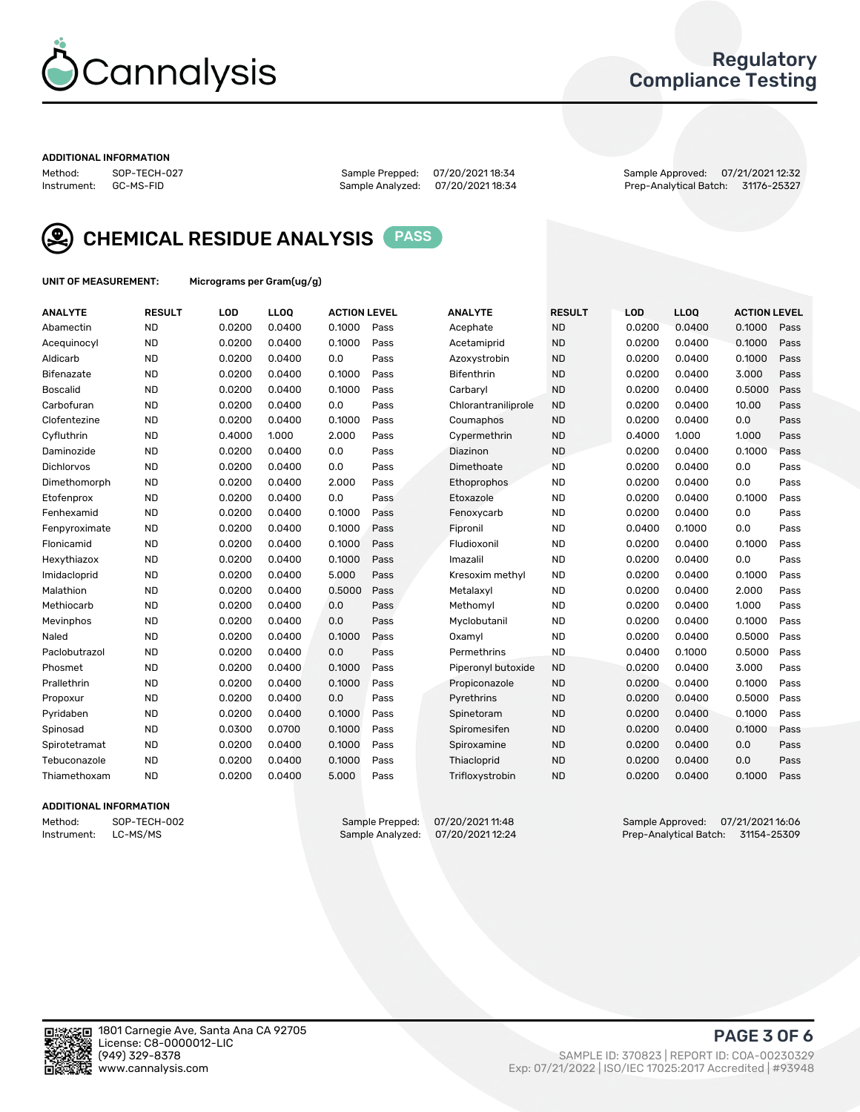

### Regulatory Compliance Testing

#### ADDITIONAL INFORMATION

Sample Analyzed: 07/20/2021 18:34

Method: SOP-TECH-027 Sample Prepped: 07/20/2021 18:34 Sample Approved: 07/21/2021 12:32



CHEMICAL RESIDUE ANALYSIS PASS

UNIT OF MEASUREMENT: Micrograms per Gram(ug/g)

| <b>ANALYTE</b>    | <b>RESULT</b> | LOD    | <b>LLOQ</b> | <b>ACTION LEVEL</b> |      | <b>ANALYTE</b>      | <b>RESULT</b> | LOD    | <b>LLOQ</b> | <b>ACTION LEVEL</b> |      |
|-------------------|---------------|--------|-------------|---------------------|------|---------------------|---------------|--------|-------------|---------------------|------|
| Abamectin         | <b>ND</b>     | 0.0200 | 0.0400      | 0.1000              | Pass | Acephate            | <b>ND</b>     | 0.0200 | 0.0400      | 0.1000              | Pass |
| Acequinocyl       | <b>ND</b>     | 0.0200 | 0.0400      | 0.1000              | Pass | Acetamiprid         | <b>ND</b>     | 0.0200 | 0.0400      | 0.1000              | Pass |
| Aldicarb          | <b>ND</b>     | 0.0200 | 0.0400      | 0.0                 | Pass | Azoxystrobin        | <b>ND</b>     | 0.0200 | 0.0400      | 0.1000              | Pass |
| Bifenazate        | <b>ND</b>     | 0.0200 | 0.0400      | 0.1000              | Pass | <b>Bifenthrin</b>   | <b>ND</b>     | 0.0200 | 0.0400      | 3.000               | Pass |
| <b>Boscalid</b>   | <b>ND</b>     | 0.0200 | 0.0400      | 0.1000              | Pass | Carbarvl            | <b>ND</b>     | 0.0200 | 0.0400      | 0.5000              | Pass |
| Carbofuran        | <b>ND</b>     | 0.0200 | 0.0400      | 0.0                 | Pass | Chlorantraniliprole | <b>ND</b>     | 0.0200 | 0.0400      | 10.00               | Pass |
| Clofentezine      | <b>ND</b>     | 0.0200 | 0.0400      | 0.1000              | Pass | Coumaphos           | <b>ND</b>     | 0.0200 | 0.0400      | 0.0                 | Pass |
| Cyfluthrin        | <b>ND</b>     | 0.4000 | 1.000       | 2.000               | Pass | Cypermethrin        | <b>ND</b>     | 0.4000 | 1.000       | 1.000               | Pass |
| Daminozide        | <b>ND</b>     | 0.0200 | 0.0400      | 0.0                 | Pass | Diazinon            | <b>ND</b>     | 0.0200 | 0.0400      | 0.1000              | Pass |
| <b>Dichlorvos</b> | <b>ND</b>     | 0.0200 | 0.0400      | 0.0                 | Pass | Dimethoate          | <b>ND</b>     | 0.0200 | 0.0400      | 0.0                 | Pass |
| Dimethomorph      | <b>ND</b>     | 0.0200 | 0.0400      | 2.000               | Pass | <b>Ethoprophos</b>  | <b>ND</b>     | 0.0200 | 0.0400      | 0.0                 | Pass |
| Etofenprox        | <b>ND</b>     | 0.0200 | 0.0400      | 0.0                 | Pass | Etoxazole           | <b>ND</b>     | 0.0200 | 0.0400      | 0.1000              | Pass |
| Fenhexamid        | <b>ND</b>     | 0.0200 | 0.0400      | 0.1000              | Pass | Fenoxycarb          | <b>ND</b>     | 0.0200 | 0.0400      | 0.0                 | Pass |
| Fenpyroximate     | <b>ND</b>     | 0.0200 | 0.0400      | 0.1000              | Pass | Fipronil            | <b>ND</b>     | 0.0400 | 0.1000      | 0.0                 | Pass |
| Flonicamid        | <b>ND</b>     | 0.0200 | 0.0400      | 0.1000              | Pass | Fludioxonil         | <b>ND</b>     | 0.0200 | 0.0400      | 0.1000              | Pass |
| Hexythiazox       | <b>ND</b>     | 0.0200 | 0.0400      | 0.1000              | Pass | Imazalil            | <b>ND</b>     | 0.0200 | 0.0400      | 0.0                 | Pass |
| Imidacloprid      | <b>ND</b>     | 0.0200 | 0.0400      | 5.000               | Pass | Kresoxim methyl     | <b>ND</b>     | 0.0200 | 0.0400      | 0.1000              | Pass |
| Malathion         | <b>ND</b>     | 0.0200 | 0.0400      | 0.5000              | Pass | Metalaxyl           | <b>ND</b>     | 0.0200 | 0.0400      | 2.000               | Pass |
| Methiocarb        | <b>ND</b>     | 0.0200 | 0.0400      | 0.0                 | Pass | Methomyl            | <b>ND</b>     | 0.0200 | 0.0400      | 1.000               | Pass |
| Mevinphos         | <b>ND</b>     | 0.0200 | 0.0400      | 0.0                 | Pass | Myclobutanil        | <b>ND</b>     | 0.0200 | 0.0400      | 0.1000              | Pass |
| Naled             | <b>ND</b>     | 0.0200 | 0.0400      | 0.1000              | Pass | Oxamyl              | <b>ND</b>     | 0.0200 | 0.0400      | 0.5000              | Pass |
| Paclobutrazol     | <b>ND</b>     | 0.0200 | 0.0400      | 0.0                 | Pass | Permethrins         | <b>ND</b>     | 0.0400 | 0.1000      | 0.5000              | Pass |
| Phosmet           | <b>ND</b>     | 0.0200 | 0.0400      | 0.1000              | Pass | Piperonyl butoxide  | <b>ND</b>     | 0.0200 | 0.0400      | 3.000               | Pass |
| Prallethrin       | <b>ND</b>     | 0.0200 | 0.0400      | 0.1000              | Pass | Propiconazole       | <b>ND</b>     | 0.0200 | 0.0400      | 0.1000              | Pass |
| Propoxur          | <b>ND</b>     | 0.0200 | 0.0400      | 0.0                 | Pass | Pyrethrins          | <b>ND</b>     | 0.0200 | 0.0400      | 0.5000              | Pass |
| Pyridaben         | <b>ND</b>     | 0.0200 | 0.0400      | 0.1000              | Pass | Spinetoram          | <b>ND</b>     | 0.0200 | 0.0400      | 0.1000              | Pass |
| Spinosad          | <b>ND</b>     | 0.0300 | 0.0700      | 0.1000              | Pass | Spiromesifen        | <b>ND</b>     | 0.0200 | 0.0400      | 0.1000              | Pass |
| Spirotetramat     | <b>ND</b>     | 0.0200 | 0.0400      | 0.1000              | Pass | Spiroxamine         | <b>ND</b>     | 0.0200 | 0.0400      | 0.0                 | Pass |
| Tebuconazole      | <b>ND</b>     | 0.0200 | 0.0400      | 0.1000              | Pass | Thiacloprid         | <b>ND</b>     | 0.0200 | 0.0400      | 0.0                 | Pass |
| Thiamethoxam      | <b>ND</b>     | 0.0200 | 0.0400      | 5.000               | Pass | Trifloxystrobin     | <b>ND</b>     | 0.0200 | 0.0400      | 0.1000              | Pass |

#### ADDITIONAL INFORMATION

Method: SOP-TECH-002 Sample Prepped: 07/20/2021 11:48 Sample Approved: 07/21/2021 16:06<br>Instrument: LC-MS/MS Sample Analyzed: 07/20/2021 12:24 Prep-Analytical Batch: 31154-25309 Prep-Analytical Batch: 31154-25309

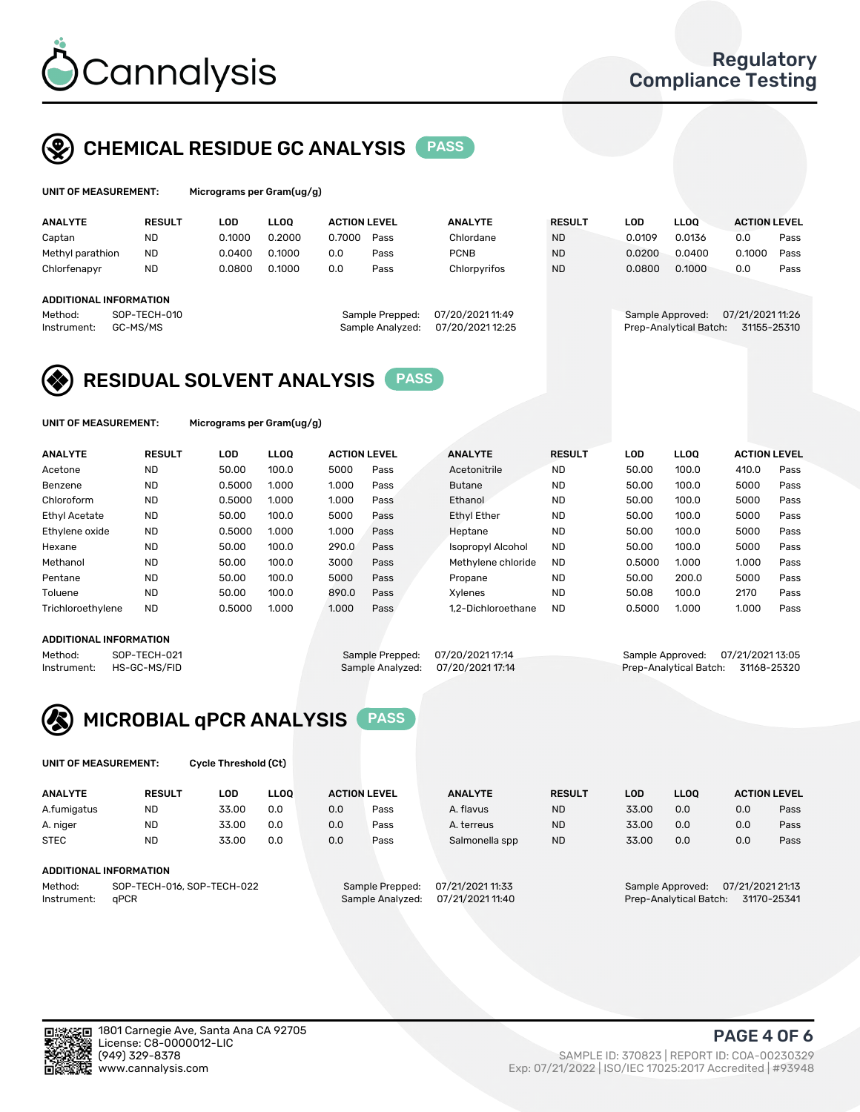

## CHEMICAL RESIDUE GC ANALYSIS PASS

| Microgr |
|---------|
|         |

ams per Gram(ug/g)

| <b>ANALYTE</b>         | <b>RESULT</b> | LOD    | <b>LLOO</b> | <b>ACTION LEVEL</b> |                 | <b>ANALYTE</b>   | <b>RESULT</b> | LOD    | <b>LLOO</b>      | <b>ACTION LEVEL</b> |      |
|------------------------|---------------|--------|-------------|---------------------|-----------------|------------------|---------------|--------|------------------|---------------------|------|
| Captan                 | <b>ND</b>     | 0.1000 | 0.2000      | 0.7000              | Pass            | Chlordane        | <b>ND</b>     | 0.0109 | 0.0136           | 0.0                 | Pass |
| Methyl parathion       | <b>ND</b>     | 0.0400 | 0.1000      | 0.0                 | Pass            | <b>PCNB</b>      | <b>ND</b>     | 0.0200 | 0.0400           | 0.1000              | Pass |
| Chlorfenapyr           | <b>ND</b>     | 0.0800 | 0.1000      | 0.0                 | Pass            | Chlorpyrifos     | <b>ND</b>     | 0.0800 | 0.1000           | 0.0                 | Pass |
|                        |               |        |             |                     |                 |                  |               |        |                  |                     |      |
| ADDITIONAL INFORMATION |               |        |             |                     |                 |                  |               |        |                  |                     |      |
| Method:                | SOP-TECH-010  |        |             |                     | Sample Prepped: | 07/20/2021 11:49 |               |        | Sample Approved: | 07/21/2021 11:26    |      |

| repped: | 07/20/2021 11:49 |  |
|---------|------------------|--|
| alyzed: | 07/20/2021 12:25 |  |
|         |                  |  |

Instrument: GC-MS/MS Sample Analyzed: 07/20/2021 12:25 Prep-Analytical Batch: 31155-25310



UNIT OF MEASUREMENT: Micrograms per Gram(ug/g)

| <b>ANALYTE</b>       | <b>RESULT</b> | <b>LOD</b> | LLOO  | <b>ACTION LEVEL</b> |      | <b>ANALYTE</b>           | <b>RESULT</b> | <b>LOD</b> | LLOO  | <b>ACTION LEVEL</b> |      |
|----------------------|---------------|------------|-------|---------------------|------|--------------------------|---------------|------------|-------|---------------------|------|
| Acetone              | <b>ND</b>     | 50.00      | 100.0 | 5000                | Pass | Acetonitrile             | <b>ND</b>     | 50.00      | 100.0 | 410.0               | Pass |
| Benzene              | <b>ND</b>     | 0.5000     | 1.000 | 1.000               | Pass | <b>Butane</b>            | <b>ND</b>     | 50.00      | 100.0 | 5000                | Pass |
| Chloroform           | <b>ND</b>     | 0.5000     | 1.000 | 1.000               | Pass | Ethanol                  | <b>ND</b>     | 50.00      | 100.0 | 5000                | Pass |
| <b>Ethyl Acetate</b> | <b>ND</b>     | 50.00      | 100.0 | 5000                | Pass | <b>Ethyl Ether</b>       | <b>ND</b>     | 50.00      | 100.0 | 5000                | Pass |
| Ethylene oxide       | <b>ND</b>     | 0.5000     | 1.000 | 1.000               | Pass | Heptane                  | <b>ND</b>     | 50.00      | 100.0 | 5000                | Pass |
| Hexane               | <b>ND</b>     | 50.00      | 100.0 | 290.0               | Pass | <b>Isopropyl Alcohol</b> | <b>ND</b>     | 50.00      | 100.0 | 5000                | Pass |
| Methanol             | <b>ND</b>     | 50.00      | 100.0 | 3000                | Pass | Methylene chloride       | <b>ND</b>     | 0.5000     | 1.000 | 1.000               | Pass |
| Pentane              | <b>ND</b>     | 50.00      | 100.0 | 5000                | Pass | Propane                  | <b>ND</b>     | 50.00      | 200.0 | 5000                | Pass |
| Toluene              | <b>ND</b>     | 50.00      | 100.0 | 890.0               | Pass | Xvlenes                  | <b>ND</b>     | 50.08      | 100.0 | 2170                | Pass |
| Trichloroethylene    | <b>ND</b>     | 0.5000     | 1.000 | 1.000               | Pass | 1.2-Dichloroethane       | <b>ND</b>     | 0.5000     | 1.000 | 1.000               | Pass |

#### ADDITIONAL INFORMATION

Method: SOP-TECH-021 Sample Prepped: 07/20/2021 17:14 Sample Approved: 07/21/2021 13:05<br>Instrument: HS-GC-MS/FID Sample Analyzed: 07/20/2021 17:14 Prep-Analytical Batch: 31168-25320 Prep-Analytical Batch: 31168-25320



UNIT OF MEASUREMENT: Cycle Threshold (Ct)

| <b>ANALYTE</b>                        | <b>RESULT</b>          | LOD   | <b>LLOO</b> |                 | <b>ACTION LEVEL</b> | <b>ANALYTE</b>   | <b>RESULT</b> | LOD              | <b>LLOO</b>            |     | <b>ACTION LEVEL</b> |
|---------------------------------------|------------------------|-------|-------------|-----------------|---------------------|------------------|---------------|------------------|------------------------|-----|---------------------|
| A.fumigatus                           | ND                     | 33.00 | 0.0         | 0.0             | Pass                | A. flavus        | <b>ND</b>     | 33.00            | 0.0                    | 0.0 | Pass                |
| A. niger                              | <b>ND</b>              | 33.00 | 0.0         | 0.0             | Pass                | A. terreus       | <b>ND</b>     | 33.00            | 0.0                    | 0.0 | Pass                |
| <b>STEC</b>                           | <b>ND</b>              | 33.00 | 0.0         | 0.0             | Pass                | Salmonella spp   | <b>ND</b>     | 33.00            | 0.0                    | 0.0 | Pass                |
|                                       | ADDITIONAL INFORMATION |       |             |                 |                     |                  |               |                  |                        |     |                     |
| SOP-TECH-016, SOP-TECH-022<br>Method: |                        |       |             | Sample Prepped: | 07/21/2021 11:33    |                  |               | Sample Approved: | 07/21/2021 21:13       |     |                     |
| Instrument:                           | aPCR                   |       |             |                 | Sample Analyzed:    | 07/21/2021 11:40 |               |                  | Prep-Analytical Batch: |     | 31170-25341         |

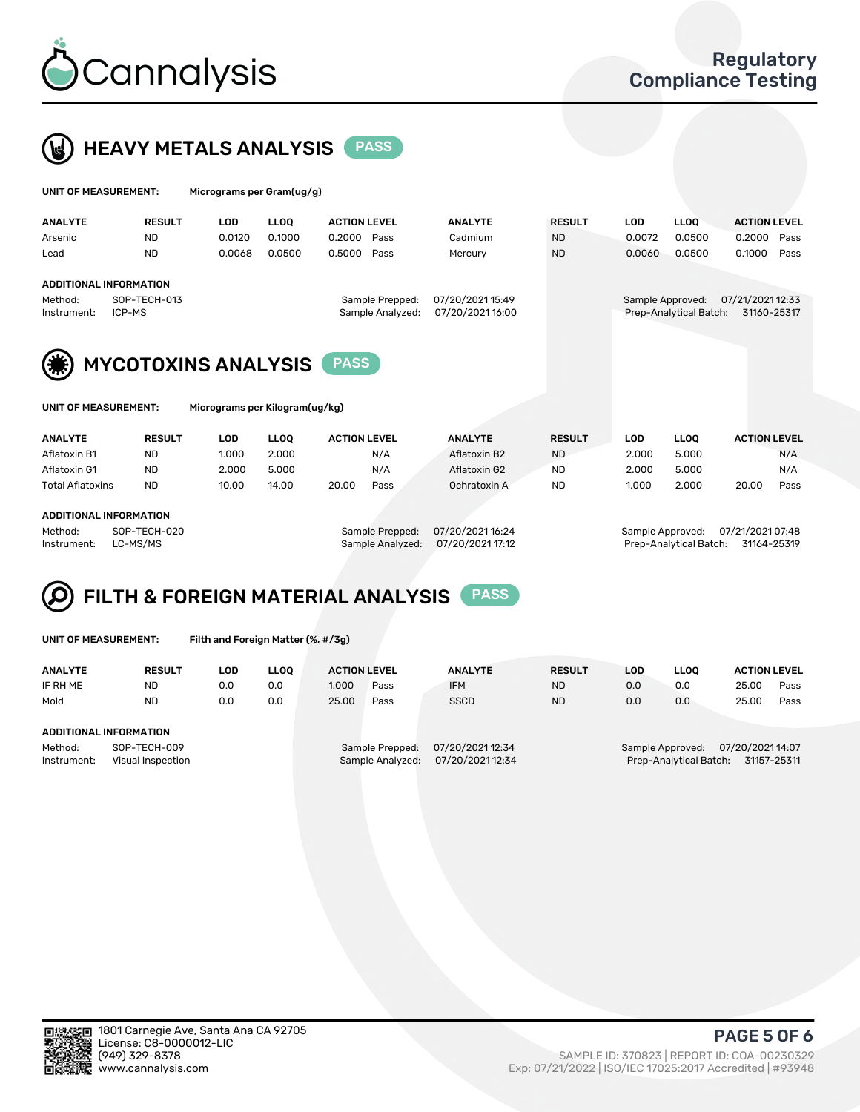



| UNIT OF MEASUREMENT: |                               | Micrograms per Gram(ug/g) |             |                     |                  |                  |               |        |                        |                     |      |
|----------------------|-------------------------------|---------------------------|-------------|---------------------|------------------|------------------|---------------|--------|------------------------|---------------------|------|
| <b>ANALYTE</b>       | <b>RESULT</b>                 | <b>LOD</b>                | <b>LLOO</b> | <b>ACTION LEVEL</b> |                  | <b>ANALYTE</b>   | <b>RESULT</b> | LOD    | <b>LLOO</b>            | <b>ACTION LEVEL</b> |      |
| Arsenic              | <b>ND</b>                     | 0.0120                    | 0.1000      | 0.2000              | Pass             | Cadmium          | <b>ND</b>     | 0.0072 | 0.0500                 | 0.2000              | Pass |
| Lead                 | <b>ND</b>                     | 0.0068                    | 0.0500      | 0.5000              | Pass             | Mercury          | <b>ND</b>     | 0.0060 | 0.0500                 | 0.1000              | Pass |
|                      | <b>ADDITIONAL INFORMATION</b> |                           |             |                     |                  |                  |               |        |                        |                     |      |
| Method:              | SOP-TECH-013                  |                           |             |                     | Sample Prepped:  | 07/20/2021 15:49 |               |        | Sample Approved:       | 07/21/2021 12:33    |      |
| Instrument:          | ICP-MS                        |                           |             |                     | Sample Analyzed: | 07/20/202116:00  |               |        | Prep-Analytical Batch: | 31160-25317         |      |
|                      |                               |                           |             |                     |                  |                  |               |        |                        |                     |      |



| UNIT OF MEASUREMENT: |  |
|----------------------|--|
|----------------------|--|

Micrograms per Kilogram(ug/kg)

| <b>ANALYTE</b>          | <b>RESULT</b> | LOD   | LLOO  | <b>ACTION LEVEL</b> |      | <b>ANALYTE</b> | <b>RESULT</b> | <b>LOD</b> | <b>LLOO</b> |       | <b>ACTION LEVEL</b> |
|-------------------------|---------------|-------|-------|---------------------|------|----------------|---------------|------------|-------------|-------|---------------------|
| Aflatoxin B1            | <b>ND</b>     | 1.000 | 2.000 |                     | N/A  | Aflatoxin B2   | <b>ND</b>     | 2.000      | 5.000       |       | N/A                 |
| Aflatoxin G1            | <b>ND</b>     | 2.000 | 5.000 |                     | N/A  | Aflatoxin G2   | <b>ND</b>     | 2.000      | 5.000       |       | N/A                 |
| <b>Total Aflatoxins</b> | <b>ND</b>     | 10.00 | 14.00 | 20.00               | Pass | Ochratoxin A   | <b>ND</b>     | 1.000      | 2.000       | 20.00 | Pass                |
|                         |               |       |       |                     |      |                |               |            |             |       |                     |

#### ADDITIONAL INFORMATION

Method: SOP-TECH-020 Sample Prepped: 07/20/2021 16:24 Sample Approved: 07/21/2021 07:48 Instrument: LC-MS/MS Sample Analyzed: 07/20/2021 17:12 Prep-Analytical Batch: 31164-25319

# FILTH & FOREIGN MATERIAL ANALYSIS PASS

UNIT OF MEASUREMENT: Filth and Foreign Matter (%, #/3g)

| <b>ANALYTE</b>                                              | <b>RESULT</b> | LOD | <b>LLOO</b> | <b>ACTION LEVEL</b> |                                     | <b>ANALYTE</b>                       | <b>RESULT</b> | LOD | <b>LLOO</b>                                | <b>ACTION LEVEL</b> |             |
|-------------------------------------------------------------|---------------|-----|-------------|---------------------|-------------------------------------|--------------------------------------|---------------|-----|--------------------------------------------|---------------------|-------------|
| IF RH ME                                                    | <b>ND</b>     | 0.0 | 0.0         | 1.000               | Pass                                | <b>IFM</b>                           | <b>ND</b>     | 0.0 | 0.0                                        | 25.00               | Pass        |
| Mold                                                        | <b>ND</b>     | 0.0 | 0.0         | 25.00               | Pass                                | <b>SSCD</b>                          | <b>ND</b>     | 0.0 | 0.0                                        | 25.00               | Pass        |
| ADDITIONAL INFORMATION                                      |               |     |             |                     |                                     |                                      |               |     |                                            |                     |             |
| Method:<br>SOP-TECH-009<br>Instrument:<br>Visual Inspection |               |     |             |                     | Sample Prepped:<br>Sample Analyzed: | 07/20/2021 12:34<br>07/20/2021 12:34 |               |     | Sample Approved:<br>Prep-Analytical Batch: | 07/20/2021 14:07    | 31157-25311 |